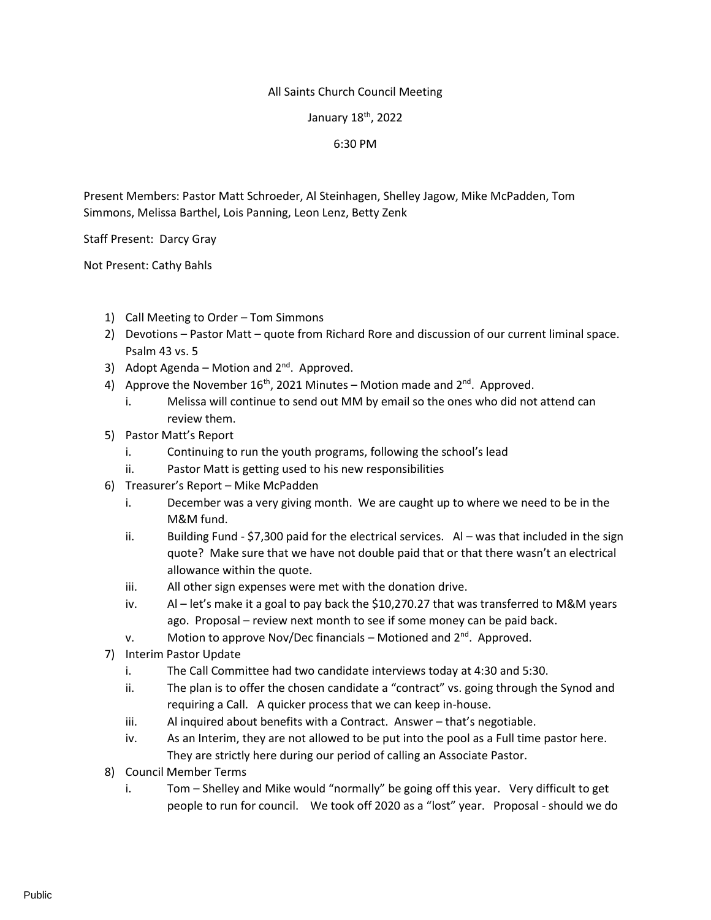## All Saints Church Council Meeting

January 18th, 2022

## 6:30 PM

Present Members: Pastor Matt Schroeder, Al Steinhagen, Shelley Jagow, Mike McPadden, Tom Simmons, Melissa Barthel, Lois Panning, Leon Lenz, Betty Zenk

Staff Present: Darcy Gray

Not Present: Cathy Bahls

- 1) Call Meeting to Order Tom Simmons
- 2) Devotions Pastor Matt quote from Richard Rore and discussion of our current liminal space. Psalm 43 vs. 5
- 3) Adopt Agenda Motion and  $2^{nd}$ . Approved.
- 4) Approve the November  $16^{th}$ , 2021 Minutes Motion made and  $2^{nd}$ . Approved.
	- i. Melissa will continue to send out MM by email so the ones who did not attend can review them.
- 5) Pastor Matt's Report
	- i. Continuing to run the youth programs, following the school's lead
	- ii. Pastor Matt is getting used to his new responsibilities
- 6) Treasurer's Report Mike McPadden
	- i. December was a very giving month. We are caught up to where we need to be in the M&M fund.
	- ii. Building Fund \$7,300 paid for the electrical services. Al was that included in the sign quote? Make sure that we have not double paid that or that there wasn't an electrical allowance within the quote.
	- iii. All other sign expenses were met with the donation drive.
	- iv. Al let's make it a goal to pay back the \$10,270.27 that was transferred to M&M years ago. Proposal – review next month to see if some money can be paid back.
	- v. Motion to approve Nov/Dec financials Motioned and  $2^{nd}$ . Approved.
- 7) Interim Pastor Update
	- i. The Call Committee had two candidate interviews today at 4:30 and 5:30.
	- ii. The plan is to offer the chosen candidate a "contract" vs. going through the Synod and requiring a Call. A quicker process that we can keep in-house.
	- iii. Al inquired about benefits with a Contract. Answer that's negotiable.
	- iv. As an Interim, they are not allowed to be put into the pool as a Full time pastor here. They are strictly here during our period of calling an Associate Pastor.
- 8) Council Member Terms
	- i. Tom Shelley and Mike would "normally" be going off this year. Very difficult to get people to run for council. We took off 2020 as a "lost" year. Proposal - should we do